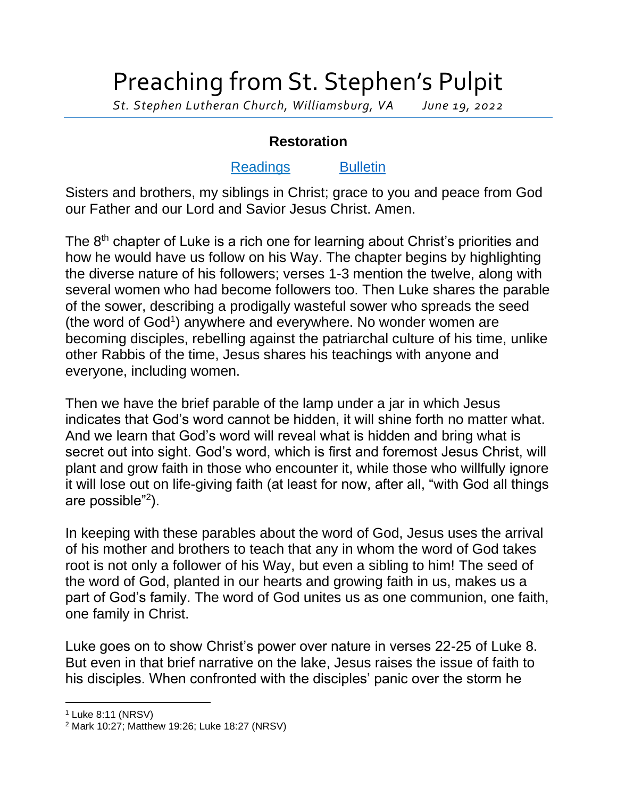## Preaching from St. Stephen's Pulpit

*St. Stephen Lutheran Church, Williamsburg, VA June 19, 2022*

## **Restoration**

## [Readings](https://lectionary.library.vanderbilt.edu/texts.php?id=267) [Bulletin](http://www.saintstephenlutheran.net/sunday-bulletins/)

Sisters and brothers, my siblings in Christ; grace to you and peace from God our Father and our Lord and Savior Jesus Christ. Amen.

The 8<sup>th</sup> chapter of Luke is a rich one for learning about Christ's priorities and how he would have us follow on his Way. The chapter begins by highlighting the diverse nature of his followers; verses 1-3 mention the twelve, along with several women who had become followers too. Then Luke shares the parable of the sower, describing a prodigally wasteful sower who spreads the seed (the word of God<sup>1</sup>) anywhere and everywhere. No wonder women are becoming disciples, rebelling against the patriarchal culture of his time, unlike other Rabbis of the time, Jesus shares his teachings with anyone and everyone, including women.

Then we have the brief parable of the lamp under a jar in which Jesus indicates that God's word cannot be hidden, it will shine forth no matter what. And we learn that God's word will reveal what is hidden and bring what is secret out into sight. God's word, which is first and foremost Jesus Christ, will plant and grow faith in those who encounter it, while those who willfully ignore it will lose out on life-giving faith (at least for now, after all, "with God all things are possible"<sup>2</sup> ).

In keeping with these parables about the word of God, Jesus uses the arrival of his mother and brothers to teach that any in whom the word of God takes root is not only a follower of his Way, but even a sibling to him! The seed of the word of God, planted in our hearts and growing faith in us, makes us a part of God's family. The word of God unites us as one communion, one faith, one family in Christ.

Luke goes on to show Christ's power over nature in verses 22-25 of Luke 8. But even in that brief narrative on the lake, Jesus raises the issue of faith to his disciples. When confronted with the disciples' panic over the storm he

<sup>1</sup> Luke 8:11 (NRSV)

<sup>2</sup> Mark 10:27; Matthew 19:26; Luke 18:27 (NRSV)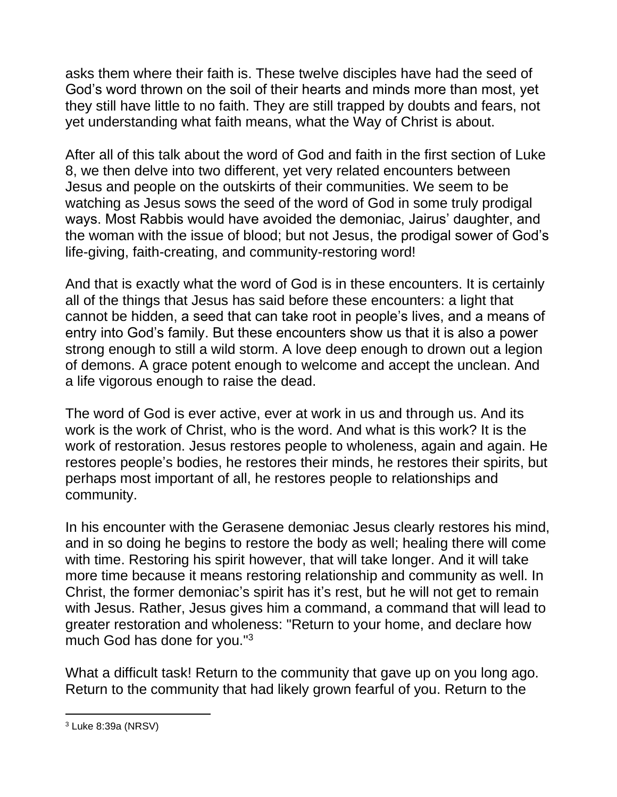asks them where their faith is. These twelve disciples have had the seed of God's word thrown on the soil of their hearts and minds more than most, yet they still have little to no faith. They are still trapped by doubts and fears, not yet understanding what faith means, what the Way of Christ is about.

After all of this talk about the word of God and faith in the first section of Luke 8, we then delve into two different, yet very related encounters between Jesus and people on the outskirts of their communities. We seem to be watching as Jesus sows the seed of the word of God in some truly prodigal ways. Most Rabbis would have avoided the demoniac, Jairus' daughter, and the woman with the issue of blood; but not Jesus, the prodigal sower of God's life-giving, faith-creating, and community-restoring word!

And that is exactly what the word of God is in these encounters. It is certainly all of the things that Jesus has said before these encounters: a light that cannot be hidden, a seed that can take root in people's lives, and a means of entry into God's family. But these encounters show us that it is also a power strong enough to still a wild storm. A love deep enough to drown out a legion of demons. A grace potent enough to welcome and accept the unclean. And a life vigorous enough to raise the dead.

The word of God is ever active, ever at work in us and through us. And its work is the work of Christ, who is the word. And what is this work? It is the work of restoration. Jesus restores people to wholeness, again and again. He restores people's bodies, he restores their minds, he restores their spirits, but perhaps most important of all, he restores people to relationships and community.

In his encounter with the Gerasene demoniac Jesus clearly restores his mind, and in so doing he begins to restore the body as well; healing there will come with time. Restoring his spirit however, that will take longer. And it will take more time because it means restoring relationship and community as well. In Christ, the former demoniac's spirit has it's rest, but he will not get to remain with Jesus. Rather, Jesus gives him a command, a command that will lead to greater restoration and wholeness: "Return to your home, and declare how much God has done for you."<sup>3</sup>

What a difficult task! Return to the community that gave up on you long ago. Return to the community that had likely grown fearful of you. Return to the

<sup>3</sup> Luke 8:39a (NRSV)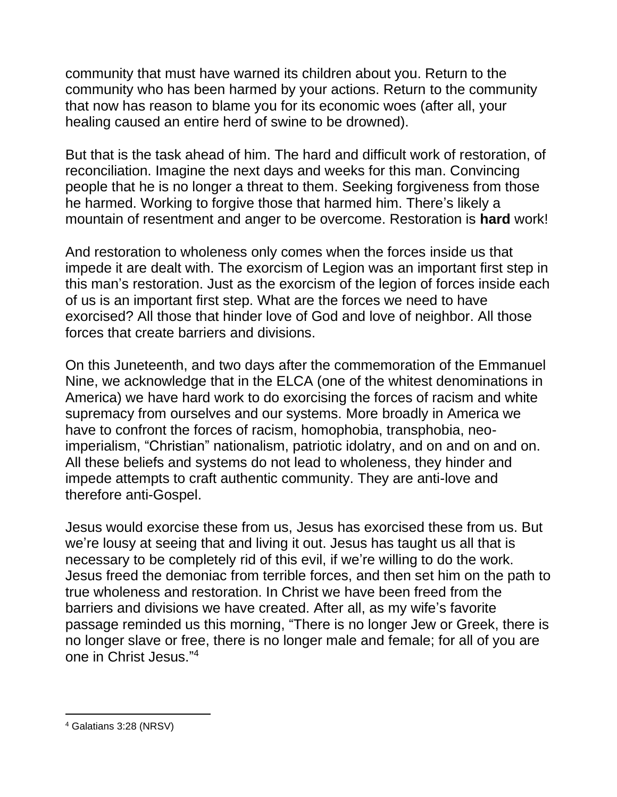community that must have warned its children about you. Return to the community who has been harmed by your actions. Return to the community that now has reason to blame you for its economic woes (after all, your healing caused an entire herd of swine to be drowned).

But that is the task ahead of him. The hard and difficult work of restoration, of reconciliation. Imagine the next days and weeks for this man. Convincing people that he is no longer a threat to them. Seeking forgiveness from those he harmed. Working to forgive those that harmed him. There's likely a mountain of resentment and anger to be overcome. Restoration is **hard** work!

And restoration to wholeness only comes when the forces inside us that impede it are dealt with. The exorcism of Legion was an important first step in this man's restoration. Just as the exorcism of the legion of forces inside each of us is an important first step. What are the forces we need to have exorcised? All those that hinder love of God and love of neighbor. All those forces that create barriers and divisions.

On this Juneteenth, and two days after the commemoration of the Emmanuel Nine, we acknowledge that in the ELCA (one of the whitest denominations in America) we have hard work to do exorcising the forces of racism and white supremacy from ourselves and our systems. More broadly in America we have to confront the forces of racism, homophobia, transphobia, neoimperialism, "Christian" nationalism, patriotic idolatry, and on and on and on. All these beliefs and systems do not lead to wholeness, they hinder and impede attempts to craft authentic community. They are anti-love and therefore anti-Gospel.

Jesus would exorcise these from us, Jesus has exorcised these from us. But we're lousy at seeing that and living it out. Jesus has taught us all that is necessary to be completely rid of this evil, if we're willing to do the work. Jesus freed the demoniac from terrible forces, and then set him on the path to true wholeness and restoration. In Christ we have been freed from the barriers and divisions we have created. After all, as my wife's favorite passage reminded us this morning, "There is no longer Jew or Greek, there is no longer slave or free, there is no longer male and female; for all of you are one in Christ Jesus." 4

<sup>4</sup> Galatians 3:28 (NRSV)